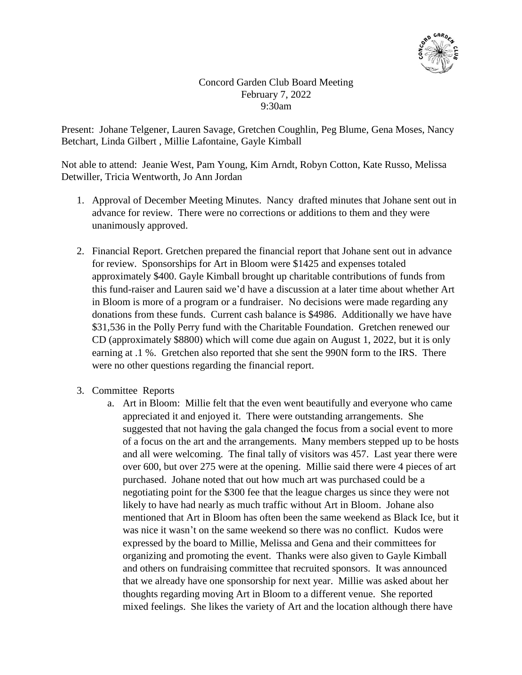

Concord Garden Club Board Meeting February 7, 2022 9:30am

Present: Johane Telgener, Lauren Savage, Gretchen Coughlin, Peg Blume, Gena Moses, Nancy Betchart, Linda Gilbert , Millie Lafontaine, Gayle Kimball

Not able to attend: Jeanie West, Pam Young, Kim Arndt, Robyn Cotton, Kate Russo, Melissa Detwiller, Tricia Wentworth, Jo Ann Jordan

- 1. Approval of December Meeting Minutes. Nancy drafted minutes that Johane sent out in advance for review. There were no corrections or additions to them and they were unanimously approved.
- 2. Financial Report. Gretchen prepared the financial report that Johane sent out in advance for review. Sponsorships for Art in Bloom were \$1425 and expenses totaled approximately \$400. Gayle Kimball brought up charitable contributions of funds from this fund-raiser and Lauren said we'd have a discussion at a later time about whether Art in Bloom is more of a program or a fundraiser. No decisions were made regarding any donations from these funds. Current cash balance is \$4986. Additionally we have have \$31,536 in the Polly Perry fund with the Charitable Foundation. Gretchen renewed our CD (approximately \$8800) which will come due again on August 1, 2022, but it is only earning at .1 %. Gretchen also reported that she sent the 990N form to the IRS. There were no other questions regarding the financial report.
- 3. Committee Reports
	- a. Art in Bloom: Millie felt that the even went beautifully and everyone who came appreciated it and enjoyed it. There were outstanding arrangements. She suggested that not having the gala changed the focus from a social event to more of a focus on the art and the arrangements. Many members stepped up to be hosts and all were welcoming. The final tally of visitors was 457. Last year there were over 600, but over 275 were at the opening. Millie said there were 4 pieces of art purchased. Johane noted that out how much art was purchased could be a negotiating point for the \$300 fee that the league charges us since they were not likely to have had nearly as much traffic without Art in Bloom. Johane also mentioned that Art in Bloom has often been the same weekend as Black Ice, but it was nice it wasn't on the same weekend so there was no conflict. Kudos were expressed by the board to Millie, Melissa and Gena and their committees for organizing and promoting the event. Thanks were also given to Gayle Kimball and others on fundraising committee that recruited sponsors. It was announced that we already have one sponsorship for next year. Millie was asked about her thoughts regarding moving Art in Bloom to a different venue. She reported mixed feelings. She likes the variety of Art and the location although there have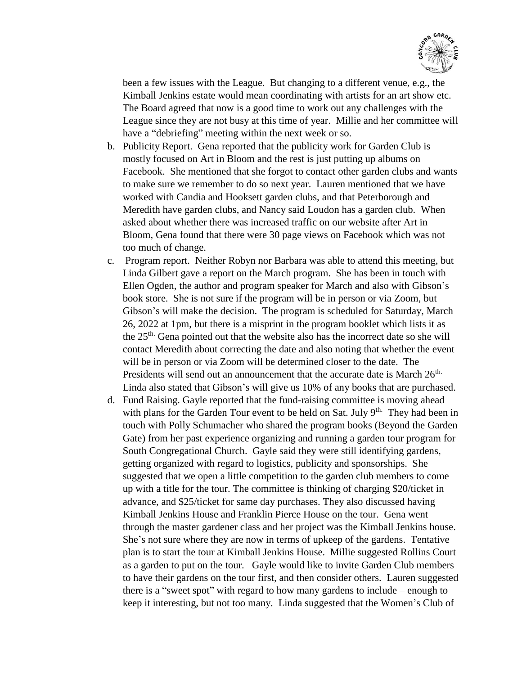

been a few issues with the League. But changing to a different venue, e.g., the Kimball Jenkins estate would mean coordinating with artists for an art show etc. The Board agreed that now is a good time to work out any challenges with the League since they are not busy at this time of year. Millie and her committee will have a "debriefing" meeting within the next week or so.

- b. Publicity Report. Gena reported that the publicity work for Garden Club is mostly focused on Art in Bloom and the rest is just putting up albums on Facebook. She mentioned that she forgot to contact other garden clubs and wants to make sure we remember to do so next year. Lauren mentioned that we have worked with Candia and Hooksett garden clubs, and that Peterborough and Meredith have garden clubs, and Nancy said Loudon has a garden club. When asked about whether there was increased traffic on our website after Art in Bloom, Gena found that there were 30 page views on Facebook which was not too much of change.
- c. Program report. Neither Robyn nor Barbara was able to attend this meeting, but Linda Gilbert gave a report on the March program. She has been in touch with Ellen Ogden, the author and program speaker for March and also with Gibson's book store. She is not sure if the program will be in person or via Zoom, but Gibson's will make the decision. The program is scheduled for Saturday, March 26, 2022 at 1pm, but there is a misprint in the program booklet which lists it as the 25th. Gena pointed out that the website also has the incorrect date so she will contact Meredith about correcting the date and also noting that whether the event will be in person or via Zoom will be determined closer to the date. The Presidents will send out an announcement that the accurate date is March 26<sup>th.</sup> Linda also stated that Gibson's will give us 10% of any books that are purchased.
- d. Fund Raising. Gayle reported that the fund-raising committee is moving ahead with plans for the Garden Tour event to be held on Sat. July 9<sup>th.</sup> They had been in touch with Polly Schumacher who shared the program books (Beyond the Garden Gate) from her past experience organizing and running a garden tour program for South Congregational Church. Gayle said they were still identifying gardens, getting organized with regard to logistics, publicity and sponsorships. She suggested that we open a little competition to the garden club members to come up with a title for the tour. The committee is thinking of charging \$20/ticket in advance, and \$25/ticket for same day purchases. They also discussed having Kimball Jenkins House and Franklin Pierce House on the tour. Gena went through the master gardener class and her project was the Kimball Jenkins house. She's not sure where they are now in terms of upkeep of the gardens. Tentative plan is to start the tour at Kimball Jenkins House. Millie suggested Rollins Court as a garden to put on the tour. Gayle would like to invite Garden Club members to have their gardens on the tour first, and then consider others. Lauren suggested there is a "sweet spot" with regard to how many gardens to include – enough to keep it interesting, but not too many. Linda suggested that the Women's Club of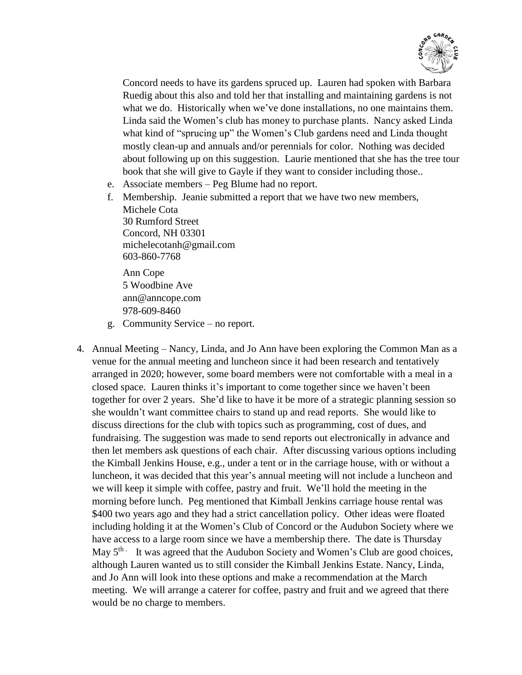

Concord needs to have its gardens spruced up. Lauren had spoken with Barbara Ruedig about this also and told her that installing and maintaining gardens is not what we do. Historically when we've done installations, no one maintains them. Linda said the Women's club has money to purchase plants. Nancy asked Linda what kind of "sprucing up" the Women's Club gardens need and Linda thought mostly clean-up and annuals and/or perennials for color. Nothing was decided about following up on this suggestion. Laurie mentioned that she has the tree tour book that she will give to Gayle if they want to consider including those..

- e. Associate members Peg Blume had no report.
- f. Membership. Jeanie submitted a report that we have two new members, Michele Cota 30 Rumford Street Concord, NH 03301 [michelecotanh@gmail.com](mailto:michelecotanh@gmail.com) 603-860-7768

Ann Cope 5 Woodbine Ave [ann@anncope.com](mailto:ann@anncope.com) 978-609-8460

- g. Community Service no report.
- 4. Annual Meeting Nancy, Linda, and Jo Ann have been exploring the Common Man as a venue for the annual meeting and luncheon since it had been research and tentatively arranged in 2020; however, some board members were not comfortable with a meal in a closed space. Lauren thinks it's important to come together since we haven't been together for over 2 years. She'd like to have it be more of a strategic planning session so she wouldn't want committee chairs to stand up and read reports. She would like to discuss directions for the club with topics such as programming, cost of dues, and fundraising. The suggestion was made to send reports out electronically in advance and then let members ask questions of each chair. After discussing various options including the Kimball Jenkins House, e.g., under a tent or in the carriage house, with or without a luncheon, it was decided that this year's annual meeting will not include a luncheon and we will keep it simple with coffee, pastry and fruit. We'll hold the meeting in the morning before lunch. Peg mentioned that Kimball Jenkins carriage house rental was \$400 two years ago and they had a strict cancellation policy. Other ideas were floated including holding it at the Women's Club of Concord or the Audubon Society where we have access to a large room since we have a membership there. The date is Thursday May  $5<sup>th</sup>$ . It was agreed that the Audubon Society and Women's Club are good choices, although Lauren wanted us to still consider the Kimball Jenkins Estate. Nancy, Linda, and Jo Ann will look into these options and make a recommendation at the March meeting. We will arrange a caterer for coffee, pastry and fruit and we agreed that there would be no charge to members.